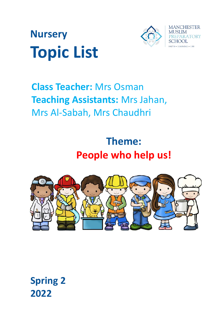



# **Class Teacher:** Mrs Osman **Teaching Assistants:** Mrs Jahan, Mrs Al-Sabah, Mrs Chaudhri

**Theme: People who help us!**



**Spring 2 2022**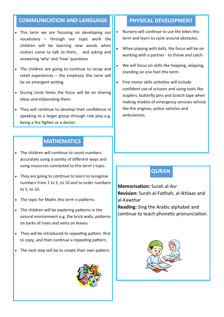### **COMMUNICATION AND LANGUAGE II PHYSICAL DEVELOPMENT**

- This term we are focusing on developing our vocabulary – through our topic work the children will be learning new words when visitors come to talk to them, and asking and answering 'why' and 'how' questions
- The children are going to continue to recap and retell experiences – the emphasis this term will be on emergent writing.
- During circle times the focus will be on sharing ideas and elaborating them.
- They will continue to develop their confidence in speaking to a larger group through role play e.g. being a fire fighter or a doctor.

#### **MATHEMATICS**

- The children will continue to count numbers accurately using a variety of different ways and using resources connected to this term's topic.
- They are going to continue to learn to recognise numbers from 1 to 5, to 10 and to order numbers to 5, to 10.
- The topic for Maths this term is patterns
- The children will be exploring patterns in the natural environment e.g. the brick walls, patterns on barks of trees and veins on leaves
- They will be introduced to repeating patters: first to copy, and then continue a repeating pattern.
- The next step will be to create their own pattern.



- Nursery will continue to use the bikes this term and learn to cycle around obstacles.
- When playing with balls, the focus will be on working with a partner - to throw and catch
- We will focus on skills like hopping, skipping, standing on one foot this term.
- Fine motor skills activities will include confident use of scissors and using tools like staplers, butterfly pins and Scotch tape when making models of emergency services vehicle like fire engines, police vehicles and ambulances.

### **QURAN**

**Memorisation:** Surah al-Asr **Revision:** Surah al-Fatihah, al-Ikhlaas and al-Kawthar

**Reading:** Sing the Arabic alphabet and continue to teach phonetic pronunciation.